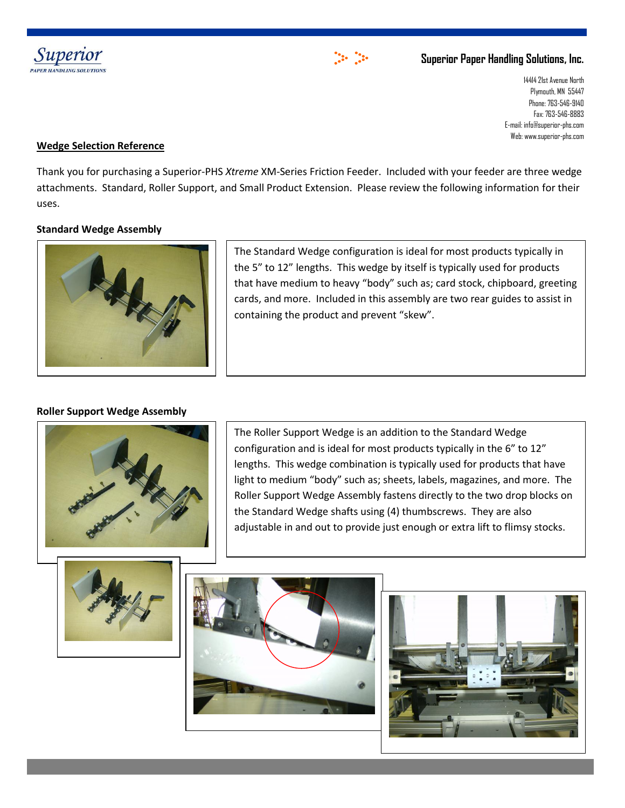



## **Superior Paper Handling Solutions, Inc.**

14414 21st Avenue North Plymouth, MN 55447 Phone: 763-546-9140 Fax: 763-546-8883 E-mail: info@superior-phs.com Web: www.superior-phs.com

## **Wedge Selection Reference**

Thank you for purchasing a Superior-PHS *Xtreme* XM-Series Friction Feeder. Included with your feeder are three wedge attachments. Standard, Roller Support, and Small Product Extension. Please review the following information for their uses.

### **Standard Wedge Assembly**



The Standard Wedge configuration is ideal for most products typically in the 5" to 12" lengths. This wedge by itself is typically used for products that have medium to heavy "body" such as; card stock, chipboard, greeting cards, and more. Included in this assembly are two rear guides to assist in containing the product and prevent "skew".

#### **Roller Support Wedge Assembly**



The Roller Support Wedge is an addition to the Standard Wedge configuration and is ideal for most products typically in the 6" to 12" lengths. This wedge combination is typically used for products that have light to medium "body" such as; sheets, labels, magazines, and more. The Roller Support Wedge Assembly fastens directly to the two drop blocks on the Standard Wedge shafts using (4) thumbscrews. They are also adjustable in and out to provide just enough or extra lift to flimsy stocks.